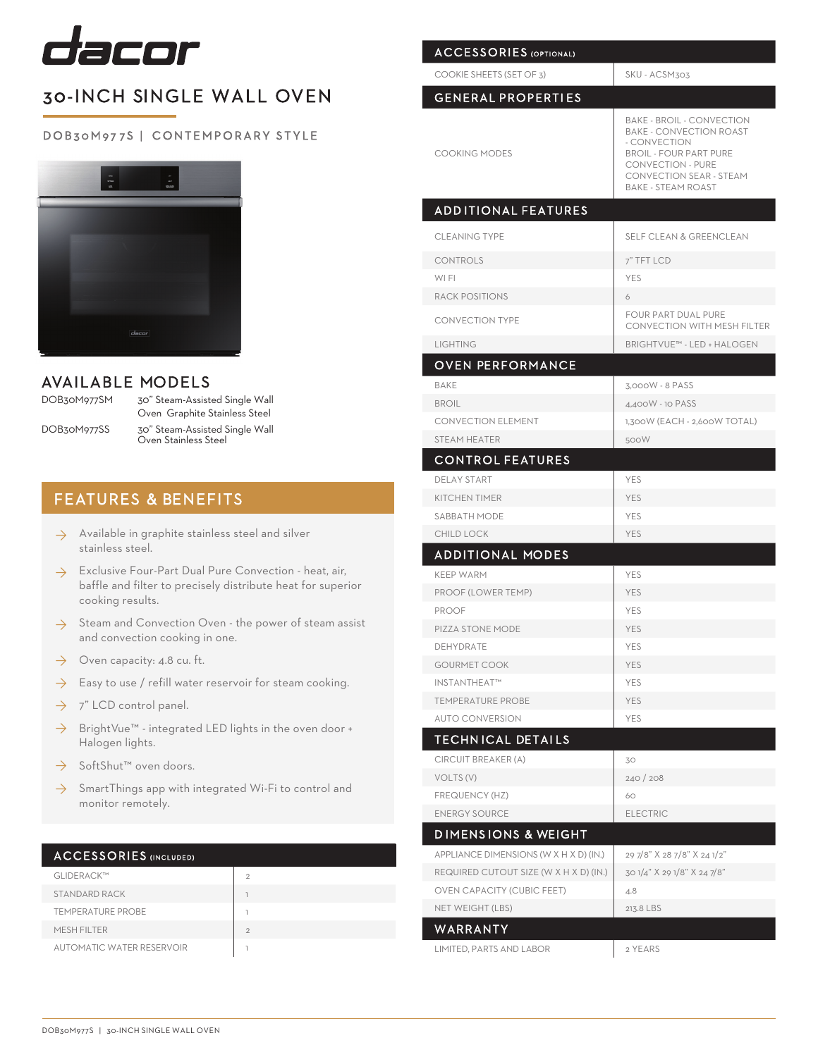

## 30-INCH SINGLE WALL OVEN

#### DOB30M977S | CONTEMPORARY STYLE



#### AVAILABLE MODELS

DOB30M977SM DOB30M977SS

30" Steam-Assisted Single Wall Oven Graphite Stainless Steel 30" Steam-Assisted Single Wall Oven Stainless Steel

### FEATURES & BENEFITS

- $\rightarrow$  Available in graphite stainless steel and silver stainless steel.
- → Exclusive Four-Part Dual Pure Convection heat, air, baffle and filter to precisely distribute heat for superior cooking results.
- $\rightarrow$  Steam and Convection Oven the power of steam assist and convection cooking in one.
- Oven capacity: 4.8 cu. ft.  $\rightarrow$
- Easy to use / refill water reservoir for steam cooking. ◊
- $\rightarrow$  7" LCD control panel.
- BrightVue™ integrated LED lights in the oven door + Halogen lights. ◊
- SoftShut™ oven doors. ◊
- SmartThings app with integrated Wi-Fi to control and monitor remotely. ◊

#### ACCESSORIES (INCLUDED)

| GLIDERACK™                       | $\mathfrak{D}$ |
|----------------------------------|----------------|
| STANDARD RACK                    |                |
| <b>TEMPERATURE PROBE</b>         |                |
| MESH FILTER                      | $\mathcal{D}$  |
| <b>AUTOMATIC WATER RESERVOIR</b> |                |

| <b>ACCESSORIES (OPTIONAL)</b>          |                                                                                                                                                                                                                |
|----------------------------------------|----------------------------------------------------------------------------------------------------------------------------------------------------------------------------------------------------------------|
| COOKIE SHEETS (SET OF 3)               | SKU - ACSM303                                                                                                                                                                                                  |
| <b>GENERAL PROPERTIES</b>              |                                                                                                                                                                                                                |
| <b>COOKING MODES</b>                   | <b>BAKE - BROIL - CONVECTION</b><br><b>BAKE - CONVECTION ROAST</b><br>- CONVECTION<br><b>BROIL - FOUR PART PURE</b><br><b>CONVECTION - PURE</b><br><b>CONVECTION SEAR - STEAM</b><br><b>BAKE - STEAM ROAST</b> |
| <b>ADDITIONAL FEATURES</b>             |                                                                                                                                                                                                                |
| <b>CLEANING TYPE</b>                   | SELF CLEAN & GREENCLEAN                                                                                                                                                                                        |
| <b>CONTROLS</b>                        | 7" TFT LCD                                                                                                                                                                                                     |
| WI FI                                  | <b>YES</b>                                                                                                                                                                                                     |
| <b>RACK POSITIONS</b>                  | 6                                                                                                                                                                                                              |
| <b>CONVECTION TYPE</b>                 | FOUR PART DUAL PURE<br><b>CONVECTION WITH MESH FILTER</b>                                                                                                                                                      |
| <b>LIGHTING</b>                        | BRIGHTVUE™ - LED + HALOGEN                                                                                                                                                                                     |
| <b>OVEN PERFORMANCE</b>                |                                                                                                                                                                                                                |
| <b>BAKE</b>                            | 3,000W - 8 PASS                                                                                                                                                                                                |
| <b>BROIL</b>                           | 4,400W - 10 PASS                                                                                                                                                                                               |
| <b>CONVECTION ELEMENT</b>              | 1,300W (EACH - 2,600W TOTAL)                                                                                                                                                                                   |
| <b>STEAM HEATER</b>                    | 500W                                                                                                                                                                                                           |
| <b>CONTROL FEATURES</b>                |                                                                                                                                                                                                                |
| <b>DELAY START</b>                     | <b>YES</b>                                                                                                                                                                                                     |
| <b>KITCHEN TIMER</b>                   | <b>YES</b>                                                                                                                                                                                                     |
| SABBATH MODE                           | <b>YES</b>                                                                                                                                                                                                     |
| <b>CHILD LOCK</b>                      | <b>YES</b>                                                                                                                                                                                                     |
| <b>ADDITIONAL MODES</b>                |                                                                                                                                                                                                                |
| <b>KEEP WARM</b>                       | <b>YES</b>                                                                                                                                                                                                     |
| PROOF (LOWER TEMP)                     | <b>YES</b>                                                                                                                                                                                                     |
| <b>PROOF</b>                           | <b>YES</b>                                                                                                                                                                                                     |
| PIZZA STONE MODE                       | <b>YES</b>                                                                                                                                                                                                     |
| DEHYDRATE                              | <b>YES</b>                                                                                                                                                                                                     |
| <b>GOURMET COOK</b>                    | <b>YES</b>                                                                                                                                                                                                     |
| <b>INSTANTHEAT™</b>                    | <b>YES</b>                                                                                                                                                                                                     |
| <b>TEMPERATURE PROBE</b>               | <b>YES</b>                                                                                                                                                                                                     |
| <b>AUTO CONVERSION</b>                 | <b>YES</b>                                                                                                                                                                                                     |
| TECHNICAL DETAILS                      |                                                                                                                                                                                                                |
| CIRCUIT BREAKER (A)<br>VOLTS (V)       | 30                                                                                                                                                                                                             |
| FREQUENCY (HZ)                         | 240/208<br>60                                                                                                                                                                                                  |
| <b>ENERGY SOURCE</b>                   | <b>ELECTRIC</b>                                                                                                                                                                                                |
| <b>DIMENSIONS &amp; WEIGHT</b>         |                                                                                                                                                                                                                |
| APPLIANCE DIMENSIONS (W X H X D) (IN.) | 29 7/8" X 28 7/8" X 24 1/2"                                                                                                                                                                                    |
| REQUIRED CUTOUT SIZE (W X H X D) (IN.) | 30 1/4" X 29 1/8" X 24 7/8"                                                                                                                                                                                    |
| <b>OVEN CAPACITY (CUBIC FEET)</b>      | 4.8                                                                                                                                                                                                            |
| NET WEIGHT (LBS)                       | 213.8 LBS                                                                                                                                                                                                      |
| WARRANTY                               |                                                                                                                                                                                                                |
| LIMITED, PARTS AND LABOR               | 2 YEARS                                                                                                                                                                                                        |
|                                        |                                                                                                                                                                                                                |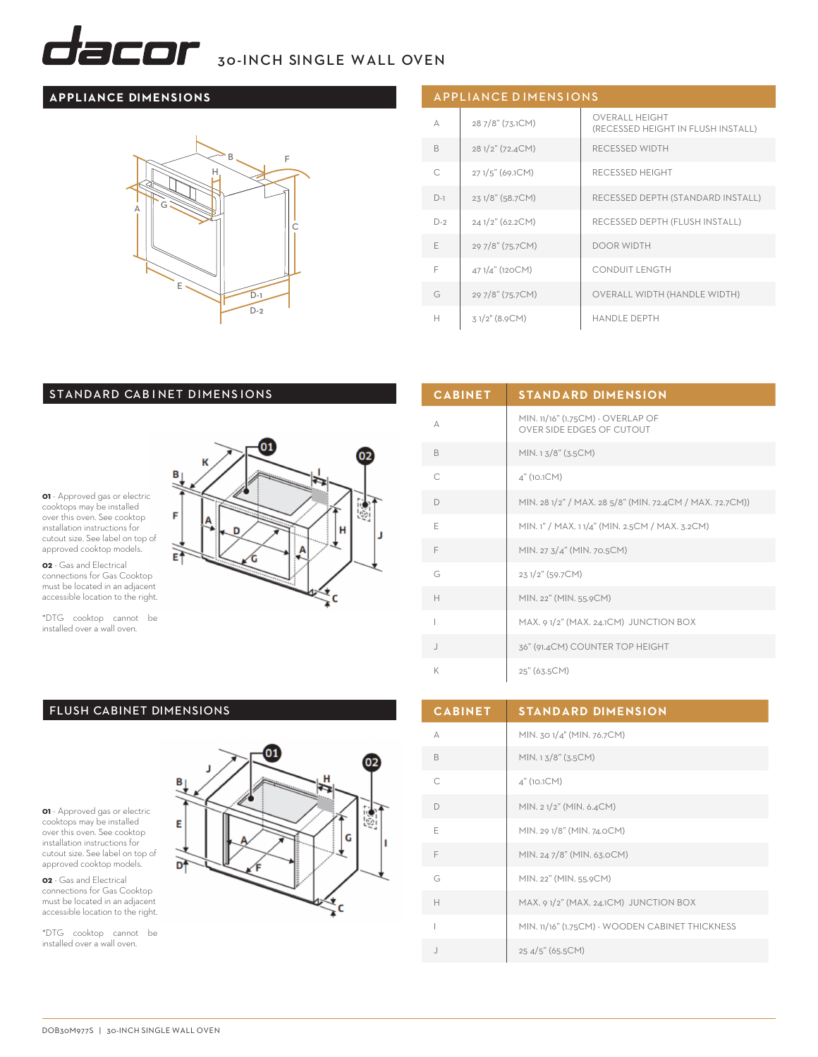

#### **APPLIANCE DIMENSIONS**



#### APPLIANCE D IMENS IONS

| A     | 28 7/8" (73.1CM) | <b>OVERALL HEIGHT</b><br>(RECESSED HEIGHT IN FLUSH INSTALL) |
|-------|------------------|-------------------------------------------------------------|
| B     | 28 1/2" (72.4CM) | RECESSED WIDTH                                              |
|       | 27 1/5" (69.1CM) | RECESSED HEIGHT                                             |
| $D-1$ | 23 1/8" (58.7CM) | RECESSED DEPTH (STANDARD INSTALL)                           |
| $D-2$ | 24 1/2" (62.2CM) | RECESSED DEPTH (FLUSH INSTALL)                              |
| E     | 29 7/8" (75.7CM) | <b>DOOR WIDTH</b>                                           |
| F     | 47 1/4" (120CM)  | <b>CONDUIT LENGTH</b>                                       |
| G     | 29 7/8" (75.7CM) | <b>OVERALL WIDTH (HANDLE WIDTH)</b>                         |
| н     | $31/2$ " (8.9CM) | <b>HANDLE DEPTH</b>                                         |

#### STANDARD CABINET DIMENSIONS



**02** - Gas and Electrical connections for Gas Cooktop must be located in an adjacent accessible location to the right.

\*DTG cooktop cannot be installed over a wall oven.



| <b>CABINET</b> | <b>STANDARD DIMENSION</b>                                             |
|----------------|-----------------------------------------------------------------------|
| A              | MIN. 11/16" (1.75CM) - OVERLAP OF<br><b>OVER SIDE EDGES OF CUTOUT</b> |
| B              | MIN. 13/8" (3.5CM)                                                    |
| C              | $4"$ (10.1CM)                                                         |
| D              | MIN. 28 1/2" / MAX. 28 5/8" (MIN. 72.4CM / MAX. 72.7CM))              |
| E              | MIN. 1" / MAX. 1 1/4" (MIN. 2.5CM / MAX. 3.2CM)                       |
| F              | MIN. 27 3/4" (MIN. 70.5CM)                                            |
| G              | 23 1/2" (59.7CM)                                                      |
| Н              | MIN. 22" (MIN. 55.9CM)                                                |
| T              | MAX. 9 1/2" (MAX. 24.1CM) JUNCTION BOX                                |
| $\mathbf{I}$   | 36" (91.4CM) COUNTER TOP HEIGHT                                       |
| K              | 25" (63.5CM)                                                          |

#### FLUSH CABINET DIMENSIONS

**01** - Approved gas or electric cooktops may be installed over this oven. See cooktop installation instructions for cutout size. See label on top of approved cooktop models.

**02** - Gas and Electrical connections for Gas Cooktop must be located in an adjacent accessible location to the right.

\*DTG cooktop cannot be installed over a wall oven.



| <b>CABINET</b> | <b>STANDARD DIMENSION</b>                       |
|----------------|-------------------------------------------------|
| A              | MIN. 30 1/4" (MIN. 76.7CM)                      |
| B              | MIN. 13/8" (3.5CM)                              |
| $\subset$      | 4" (10.1CM)                                     |
| $\Box$         | MIN. 2 1/2" (MIN. 6.4CM)                        |
| E              | MIN. 29 1/8" (MIN. 74.0CM)                      |
| F              | MIN. 24 7/8" (MIN. 63.0CM)                      |
| G              | MIN. 22" (MIN. 55.9CM)                          |
| H              | MAX. 9 1/2" (MAX. 24.1CM) JUNCTION BOX          |
|                | MIN. 11/16" (1.75CM) - WOODEN CABINET THICKNESS |
|                | 25 4/5" (65.5CM)                                |